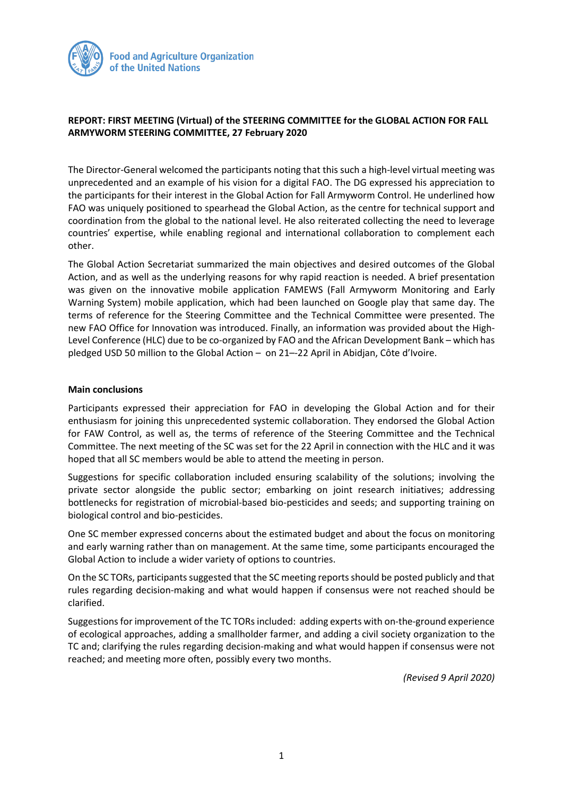

## **REPORT: FIRST MEETING (Virtual) of the STEERING COMMITTEE for the GLOBAL ACTION FOR FALL ARMYWORM STEERING COMMITTEE, 27 February 2020**

The Director-General welcomed the participants noting that this such a high-level virtual meeting was unprecedented and an example of his vision for a digital FAO. The DG expressed his appreciation to the participants for their interest in the Global Action for Fall Armyworm Control. He underlined how FAO was uniquely positioned to spearhead the Global Action, as the centre for technical support and coordination from the global to the national level. He also reiterated collecting the need to leverage countries' expertise, while enabling regional and international collaboration to complement each other.

The Global Action Secretariat summarized the main objectives and desired outcomes of the Global Action, and as well as the underlying reasons for why rapid reaction is needed. A brief presentation was given on the innovative mobile application FAMEWS (Fall Armyworm Monitoring and Early Warning System) mobile application, which had been launched on Google play that same day. The terms of reference for the Steering Committee and the Technical Committee were presented. The new FAO Office for Innovation was introduced. Finally, an information was provided about the High-Level Conference (HLC) due to be co-organized by FAO and the African Development Bank – which has pledged USD 50 million to the Global Action – on 21–-22 April in Abidjan, Côte d'Ivoire.

## **Main conclusions**

Participants expressed their appreciation for FAO in developing the Global Action and for their enthusiasm for joining this unprecedented systemic collaboration. They endorsed the Global Action for FAW Control, as well as, the terms of reference of the Steering Committee and the Technical Committee. The next meeting of the SC was set for the 22 April in connection with the HLC and it was hoped that all SC members would be able to attend the meeting in person.

Suggestions for specific collaboration included ensuring scalability of the solutions; involving the private sector alongside the public sector; embarking on joint research initiatives; addressing bottlenecks for registration of microbial-based bio-pesticides and seeds; and supporting training on biological control and bio-pesticides.

One SC member expressed concerns about the estimated budget and about the focus on monitoring and early warning rather than on management. At the same time, some participants encouraged the Global Action to include a wider variety of options to countries.

On the SC TORs, participants suggested that the SC meeting reports should be posted publicly and that rules regarding decision-making and what would happen if consensus were not reached should be clarified.

Suggestions for improvement of the TC TORs included: adding experts with on-the-ground experience of ecological approaches, adding a smallholder farmer, and adding a civil society organization to the TC and; clarifying the rules regarding decision-making and what would happen if consensus were not reached; and meeting more often, possibly every two months.

*(Revised 9 April 2020)*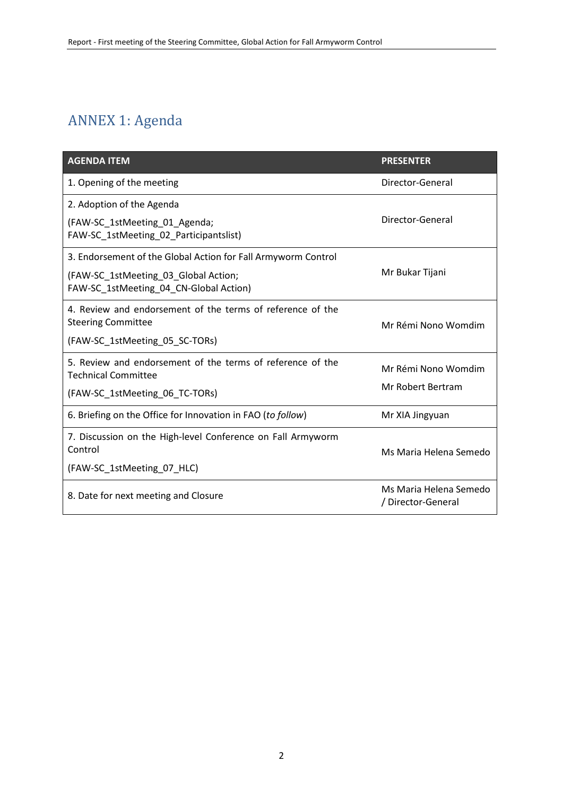## ANNEX 1: Agenda

| <b>AGENDA ITEM</b>                                                                       | <b>PRESENTER</b>                             |
|------------------------------------------------------------------------------------------|----------------------------------------------|
| 1. Opening of the meeting                                                                | Director-General                             |
| 2. Adoption of the Agenda                                                                |                                              |
| (FAW-SC 1stMeeting 01 Agenda;<br>FAW-SC 1stMeeting 02 Participantslist)                  | Director-General                             |
| 3. Endorsement of the Global Action for Fall Armyworm Control                            |                                              |
| (FAW-SC_1stMeeting_03_Global Action;<br>FAW-SC 1stMeeting 04 CN-Global Action)           | Mr Bukar Tijani                              |
| 4. Review and endorsement of the terms of reference of the<br><b>Steering Committee</b>  | Mr Rémi Nono Womdim                          |
| (FAW-SC_1stMeeting_05_SC-TORs)                                                           |                                              |
| 5. Review and endorsement of the terms of reference of the<br><b>Technical Committee</b> | Mr Rémi Nono Womdim                          |
| (FAW-SC 1stMeeting 06 TC-TORs)                                                           | Mr Robert Bertram                            |
| 6. Briefing on the Office for Innovation in FAO (to follow)                              | Mr XIA Jingyuan                              |
| 7. Discussion on the High-level Conference on Fall Armyworm<br>Control                   | Ms Maria Helena Semedo                       |
| (FAW-SC_1stMeeting_07_HLC)                                                               |                                              |
| 8. Date for next meeting and Closure                                                     | Ms Maria Helena Semedo<br>/ Director-General |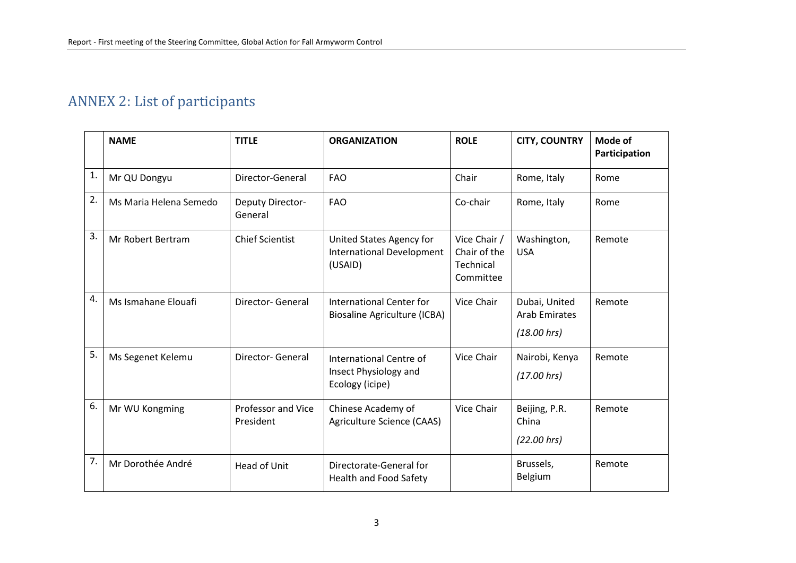## ANNEX 2: List of participants

|                  | <b>NAME</b>            | <b>TITLE</b>                           | <b>ORGANIZATION</b>                                                     | <b>ROLE</b>                                            | <b>CITY, COUNTRY</b>                                 | Mode of<br>Participation |
|------------------|------------------------|----------------------------------------|-------------------------------------------------------------------------|--------------------------------------------------------|------------------------------------------------------|--------------------------|
| $\mathbf{1}$ .   | Mr QU Dongyu           | Director-General                       | <b>FAO</b>                                                              | Chair                                                  | Rome, Italy                                          | Rome                     |
| $\overline{2}$ . | Ms Maria Helena Semedo | Deputy Director-<br>General            | <b>FAO</b>                                                              | Co-chair                                               | Rome, Italy                                          | Rome                     |
| 3.               | Mr Robert Bertram      | <b>Chief Scientist</b>                 | United States Agency for<br><b>International Development</b><br>(USAID) | Vice Chair /<br>Chair of the<br>Technical<br>Committee | Washington,<br><b>USA</b>                            | Remote                   |
| 4.               | Ms Ismahane Elouafi    | <b>Director-General</b>                | International Center for<br><b>Biosaline Agriculture (ICBA)</b>         | Vice Chair                                             | Dubai, United<br><b>Arab Emirates</b><br>(18.00 hrs) | Remote                   |
| 5.               | Ms Segenet Kelemu      | Director- General                      | International Centre of<br>Insect Physiology and<br>Ecology (icipe)     | Vice Chair                                             | Nairobi, Kenya<br>(17.00 hrs)                        | Remote                   |
| 6.               | Mr WU Kongming         | <b>Professor and Vice</b><br>President | Chinese Academy of<br>Agriculture Science (CAAS)                        | Vice Chair                                             | Beijing, P.R.<br>China<br>(22.00 hrs)                | Remote                   |
| 7.               | Mr Dorothée André      | Head of Unit                           | Directorate-General for<br><b>Health and Food Safety</b>                |                                                        | Brussels,<br>Belgium                                 | Remote                   |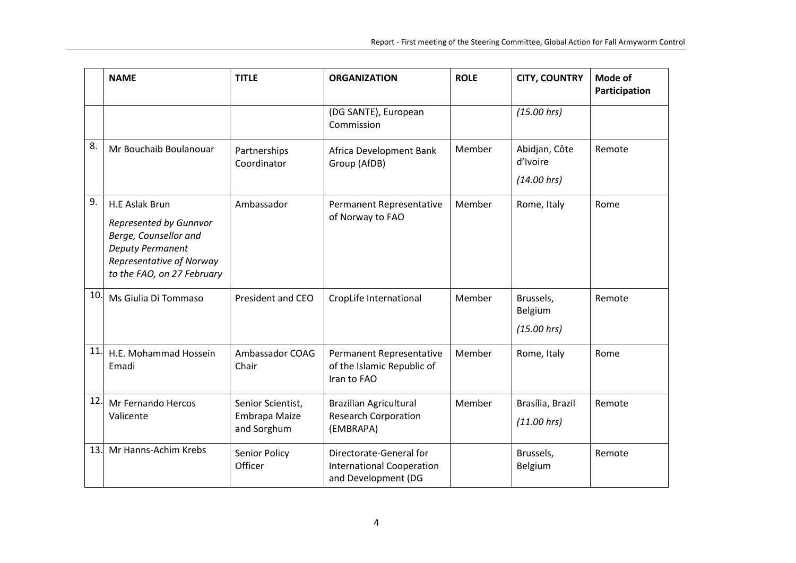|     | <b>NAME</b>                                                                                                                                            | <b>TITLE</b>                                      | <b>ORGANIZATION</b>                                                                | <b>ROLE</b> | <b>CITY, COUNTRY</b>                | Mode of<br>Participation |
|-----|--------------------------------------------------------------------------------------------------------------------------------------------------------|---------------------------------------------------|------------------------------------------------------------------------------------|-------------|-------------------------------------|--------------------------|
|     |                                                                                                                                                        |                                                   | (DG SANTE), European<br>Commission                                                 |             | (15.00 hrs)                         |                          |
| 8.  | Mr Bouchaib Boulanouar                                                                                                                                 | Partnerships<br>Coordinator                       | Africa Development Bank<br>Group (AfDB)                                            | Member      | Abidjan, Côte<br>d'Ivoire           | Remote                   |
|     |                                                                                                                                                        |                                                   |                                                                                    |             | (14.00 hrs)                         |                          |
| 9.  | H.E Aslak Brun<br>Represented by Gunnvor<br>Berge, Counsellor and<br><b>Deputy Permanent</b><br>Representative of Norway<br>to the FAO, on 27 February | Ambassador                                        | Permanent Representative<br>of Norway to FAO                                       | Member      | Rome, Italy                         | Rome                     |
| 10. | Ms Giulia Di Tommaso                                                                                                                                   | President and CEO                                 | CropLife International                                                             | Member      | Brussels,<br>Belgium<br>(15.00 hrs) | Remote                   |
| 11. | H.E. Mohammad Hossein<br>Emadi                                                                                                                         | Ambassador COAG<br>Chair                          | <b>Permanent Representative</b><br>of the Islamic Republic of<br>Iran to FAO       | Member      | Rome, Italy                         | Rome                     |
| 12. | Mr Fernando Hercos<br>Valicente                                                                                                                        | Senior Scientist,<br>Embrapa Maize<br>and Sorghum | <b>Brazilian Agricultural</b><br><b>Research Corporation</b><br>(EMBRAPA)          | Member      | Brasília, Brazil<br>(11.00 hrs)     | Remote                   |
| 13. | Mr Hanns-Achim Krebs                                                                                                                                   | Senior Policy<br>Officer                          | Directorate-General for<br><b>International Cooperation</b><br>and Development (DG |             | Brussels,<br>Belgium                | Remote                   |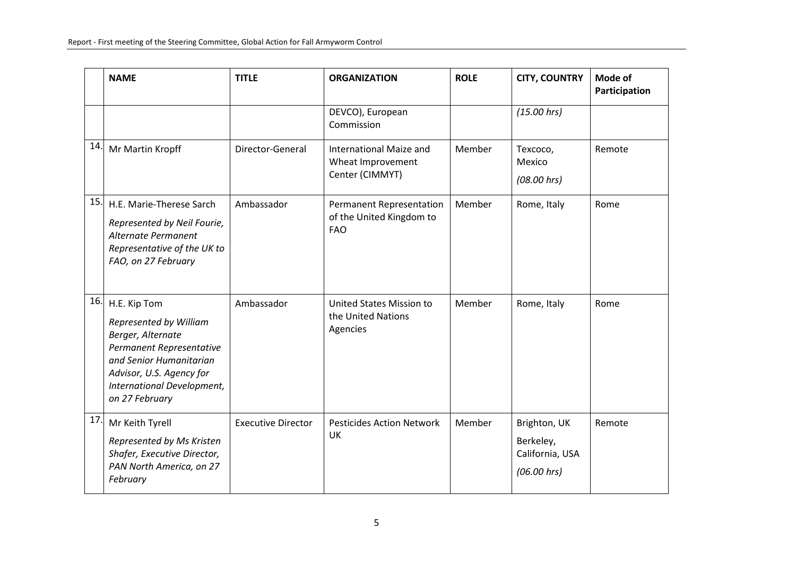|     | <b>NAME</b>                                                                                                                                                                                    | <b>TITLE</b>              | <b>ORGANIZATION</b>                                                       | <b>ROLE</b> | <b>CITY, COUNTRY</b>                                        | Mode of<br>Participation |
|-----|------------------------------------------------------------------------------------------------------------------------------------------------------------------------------------------------|---------------------------|---------------------------------------------------------------------------|-------------|-------------------------------------------------------------|--------------------------|
|     |                                                                                                                                                                                                |                           | DEVCO), European<br>Commission                                            |             | (15.00 hrs)                                                 |                          |
| 14. | Mr Martin Kropff                                                                                                                                                                               | Director-General          | International Maize and<br>Wheat Improvement<br>Center (CIMMYT)           | Member      | Texcoco,<br>Mexico<br>(08.00 hrs)                           | Remote                   |
| 15. | H.E. Marie-Therese Sarch<br>Represented by Neil Fourie,<br>Alternate Permanent<br>Representative of the UK to<br>FAO, on 27 February                                                           | Ambassador                | <b>Permanent Representation</b><br>of the United Kingdom to<br><b>FAO</b> | Member      | Rome, Italy                                                 | Rome                     |
| 16. | H.E. Kip Tom<br>Represented by William<br>Berger, Alternate<br>Permanent Representative<br>and Senior Humanitarian<br>Advisor, U.S. Agency for<br>International Development,<br>on 27 February | Ambassador                | United States Mission to<br>the United Nations<br>Agencies                | Member      | Rome, Italy                                                 | Rome                     |
| 17. | Mr Keith Tyrell<br>Represented by Ms Kristen<br>Shafer, Executive Director,<br>PAN North America, on 27<br>February                                                                            | <b>Executive Director</b> | <b>Pesticides Action Network</b><br><b>UK</b>                             | Member      | Brighton, UK<br>Berkeley,<br>California, USA<br>(06.00 hrs) | Remote                   |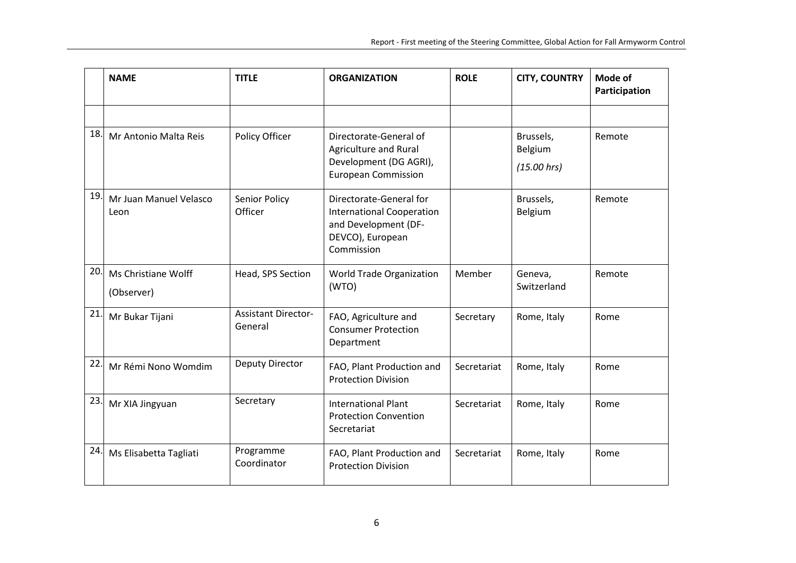|     | <b>NAME</b>                       | <b>TITLE</b>                          | <b>ORGANIZATION</b>                                                                                                   | <b>ROLE</b> | <b>CITY, COUNTRY</b>                | Mode of<br>Participation |
|-----|-----------------------------------|---------------------------------------|-----------------------------------------------------------------------------------------------------------------------|-------------|-------------------------------------|--------------------------|
|     |                                   |                                       |                                                                                                                       |             |                                     |                          |
| 18. | Mr Antonio Malta Reis             | Policy Officer                        | Directorate-General of<br>Agriculture and Rural<br>Development (DG AGRI),<br><b>European Commission</b>               |             | Brussels,<br>Belgium<br>(15.00 hrs) | Remote                   |
| 19. | Mr Juan Manuel Velasco<br>Leon    | Senior Policy<br>Officer              | Directorate-General for<br><b>International Cooperation</b><br>and Development (DF-<br>DEVCO), European<br>Commission |             | Brussels,<br>Belgium                | Remote                   |
| 20. | Ms Christiane Wolff<br>(Observer) | Head, SPS Section                     | World Trade Organization<br>(WTO)                                                                                     | Member      | Geneva,<br>Switzerland              | Remote                   |
| 21. | Mr Bukar Tijani                   | <b>Assistant Director-</b><br>General | FAO, Agriculture and<br><b>Consumer Protection</b><br>Department                                                      | Secretary   | Rome, Italy                         | Rome                     |
| 22. | Mr Rémi Nono Womdim               | Deputy Director                       | FAO, Plant Production and<br><b>Protection Division</b>                                                               | Secretariat | Rome, Italy                         | Rome                     |
| 23. | Mr XIA Jingyuan                   | Secretary                             | <b>International Plant</b><br><b>Protection Convention</b><br>Secretariat                                             | Secretariat | Rome, Italy                         | Rome                     |
| 24. | Ms Elisabetta Tagliati            | Programme<br>Coordinator              | FAO, Plant Production and<br><b>Protection Division</b>                                                               | Secretariat | Rome, Italy                         | Rome                     |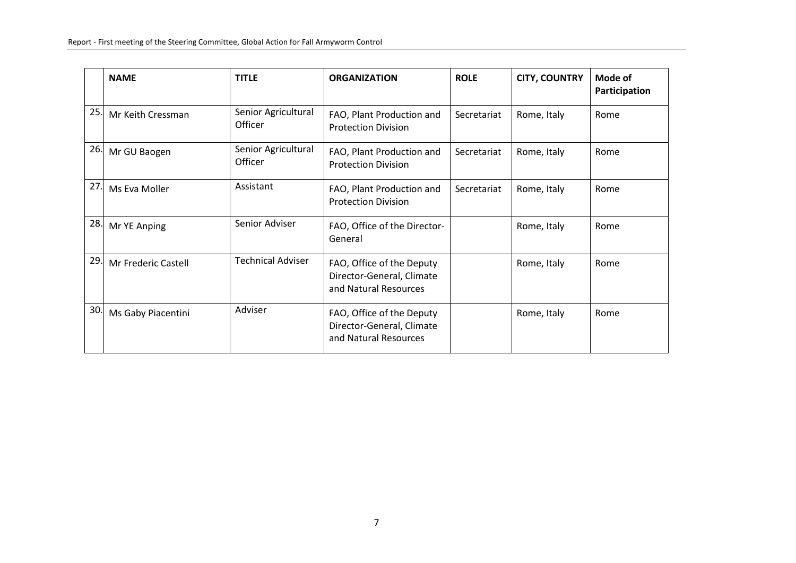|     | <b>NAME</b>         | <b>TITLE</b>                   | <b>ORGANIZATION</b>                                                             | <b>ROLE</b> | <b>CITY, COUNTRY</b> | Mode of<br>Participation |
|-----|---------------------|--------------------------------|---------------------------------------------------------------------------------|-------------|----------------------|--------------------------|
| 25. | Mr Keith Cressman   | Senior Agricultural<br>Officer | FAO, Plant Production and<br><b>Protection Division</b>                         | Secretariat | Rome, Italy          | Rome                     |
| 26. | Mr GU Baogen        | Senior Agricultural<br>Officer | FAO, Plant Production and<br><b>Protection Division</b>                         | Secretariat | Rome, Italy          | Rome                     |
| 27  | Ms Eva Moller       | Assistant                      | FAO, Plant Production and<br><b>Protection Division</b>                         | Secretariat | Rome, Italy          | Rome                     |
| 28. | Mr YE Anping        | Senior Adviser                 | FAO, Office of the Director-<br>General                                         |             | Rome, Italy          | Rome                     |
| 29. | Mr Frederic Castell | <b>Technical Adviser</b>       | FAO, Office of the Deputy<br>Director-General, Climate<br>and Natural Resources |             | Rome, Italy          | Rome                     |
| 30. | Ms Gaby Piacentini  | Adviser                        | FAO, Office of the Deputy<br>Director-General, Climate<br>and Natural Resources |             | Rome, Italy          | Rome                     |